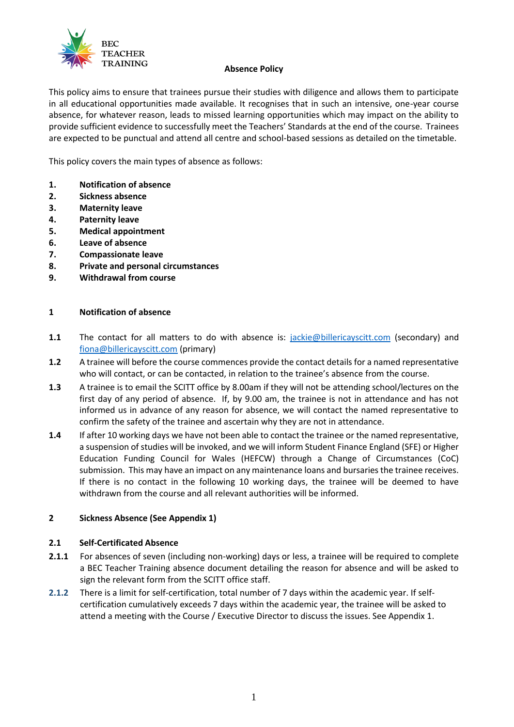

#### **Absence Policy**

This policy aims to ensure that trainees pursue their studies with diligence and allows them to participate in all educational opportunities made available. It recognises that in such an intensive, one-year course absence, for whatever reason, leads to missed learning opportunities which may impact on the ability to provide sufficient evidence to successfully meet the Teachers' Standards at the end of the course. Trainees are expected to be punctual and attend all centre and school-based sessions as detailed on the timetable.

This policy covers the main types of absence as follows:

- **1. Notification of absence**
- **2. Sickness absence**
- **3. Maternity leave**
- **4. Paternity leave**
- **5. Medical appointment**
- **6. Leave of absence**
- **7. Compassionate leave**
- **8. Private and personal circumstances**
- **9. Withdrawal from course**

#### **1 Notification of absence**

- **1.1** The contact for all matters to do with absence is: [jackie@billericayscitt.com](mailto:jackie@billericayscitt.com) (secondary) and [fiona@billericayscitt.com](mailto:fiona@billericayscitt.com) (primary)
- **1.2** A trainee will before the course commences provide the contact details for a named representative who will contact, or can be contacted, in relation to the trainee's absence from the course.
- **1.3** A trainee is to email the SCITT office by 8.00am if they will not be attending school/lectures on the first day of any period of absence. If, by 9.00 am, the trainee is not in attendance and has not informed us in advance of any reason for absence, we will contact the named representative to confirm the safety of the trainee and ascertain why they are not in attendance.
- **1.4** If after 10 working days we have not been able to contact the trainee or the named representative, a suspension of studies will be invoked, and we will inform Student Finance England (SFE) or Higher Education Funding Council for Wales (HEFCW) through a Change of Circumstances (CoC) submission. This may have an impact on any maintenance loans and bursaries the trainee receives. If there is no contact in the following 10 working days, the trainee will be deemed to have withdrawn from the course and all relevant authorities will be informed.

#### **2 Sickness Absence (See Appendix 1)**

#### **2.1 Self-Certificated Absence**

- **2.1.1** For absences of seven (including non-working) days or less, a trainee will be required to complete a BEC Teacher Training absence document detailing the reason for absence and will be asked to sign the relevant form from the SCITT office staff.
- **2.1.2** There is a limit for self-certification, total number of 7 days within the academic year. If selfcertification cumulatively exceeds 7 days within the academic year, the trainee will be asked to attend a meeting with the Course / Executive Director to discuss the issues. See Appendix 1.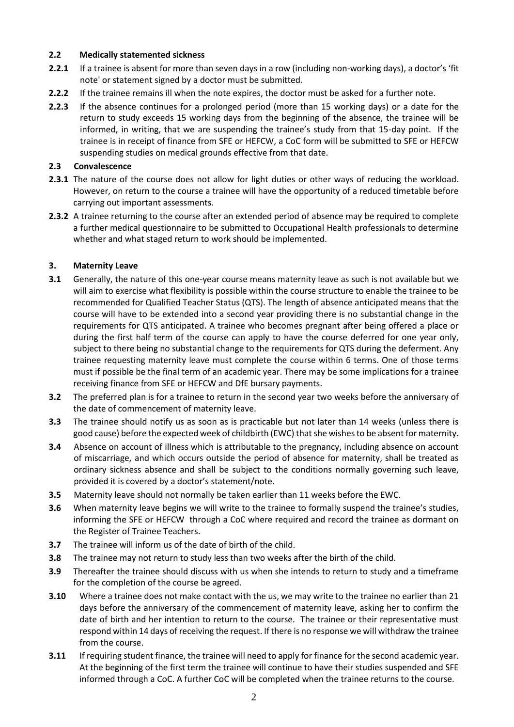## **2.2 Medically statemented sickness**

- **2.2.1** If a trainee is absent for more than seven days in a row (including non-working days), a doctor's 'fit note' or statement signed by a doctor must be submitted.
- **2.2.2** If the trainee remains ill when the note expires, the doctor must be asked for a further note.
- **2.2.3** If the absence continues for a prolonged period (more than 15 working days) or a date for the return to study exceeds 15 working days from the beginning of the absence, the trainee will be informed, in writing, that we are suspending the trainee's study from that 15-day point. If the trainee is in receipt of finance from SFE or HEFCW, a CoC form will be submitted to SFE or HEFCW suspending studies on medical grounds effective from that date.

# **2.3 Convalescence**

- **2.3.1** The nature of the course does not allow for light duties or other ways of reducing the workload. However, on return to the course a trainee will have the opportunity of a reduced timetable before carrying out important assessments.
- **2.3.2** A trainee returning to the course after an extended period of absence may be required to complete a further medical questionnaire to be submitted to Occupational Health professionals to determine whether and what staged return to work should be implemented.

# **3. Maternity Leave**

- **3.1** Generally, the nature of this one-year course means maternity leave as such is not available but we will aim to exercise what flexibility is possible within the course structure to enable the trainee to be recommended for Qualified Teacher Status (QTS). The length of absence anticipated means that the course will have to be extended into a second year providing there is no substantial change in the requirements for QTS anticipated. A trainee who becomes pregnant after being offered a place or during the first half term of the course can apply to have the course deferred for one year only, subject to there being no substantial change to the requirements for QTS during the deferment. Any trainee requesting maternity leave must complete the course within 6 terms. One of those terms must if possible be the final term of an academic year. There may be some implications for a trainee receiving finance from SFE or HEFCW and DfE bursary payments.
- **3.2** The preferred plan is for a trainee to return in the second year two weeks before the anniversary of the date of commencement of maternity leave.
- **3.3** The trainee should notify us as soon as is practicable but not later than 14 weeks (unless there is good cause) before the expected week of childbirth (EWC) that she wishes to be absent for maternity.
- **3.4** Absence on account of illness which is attributable to the pregnancy, including absence on account of miscarriage, and which occurs outside the period of absence for maternity, shall be treated as ordinary sickness absence and shall be subject to the conditions normally governing such leave, provided it is covered by a doctor's statement/note.
- **3.5** Maternity leave should not normally be taken earlier than 11 weeks before the EWC.
- **3.6** When maternity leave begins we will write to the trainee to formally suspend the trainee's studies, informing the SFE or HEFCW through a CoC where required and record the trainee as dormant on the Register of Trainee Teachers.
- **3.7** The trainee will inform us of the date of birth of the child.
- **3.8** The trainee may not return to study less than two weeks after the birth of the child.
- **3.9** Thereafter the trainee should discuss with us when she intends to return to study and a timeframe for the completion of the course be agreed.
- **3.10** Where a trainee does not make contact with the us, we may write to the trainee no earlier than 21 days before the anniversary of the commencement of maternity leave, asking her to confirm the date of birth and her intention to return to the course. The trainee or their representative must respond within 14 days of receiving the request. If there is no response we will withdraw the trainee from the course.
- **3.11** If requiring student finance, the trainee will need to apply for finance for the second academic year. At the beginning of the first term the trainee will continue to have their studies suspended and SFE informed through a CoC. A further CoC will be completed when the trainee returns to the course.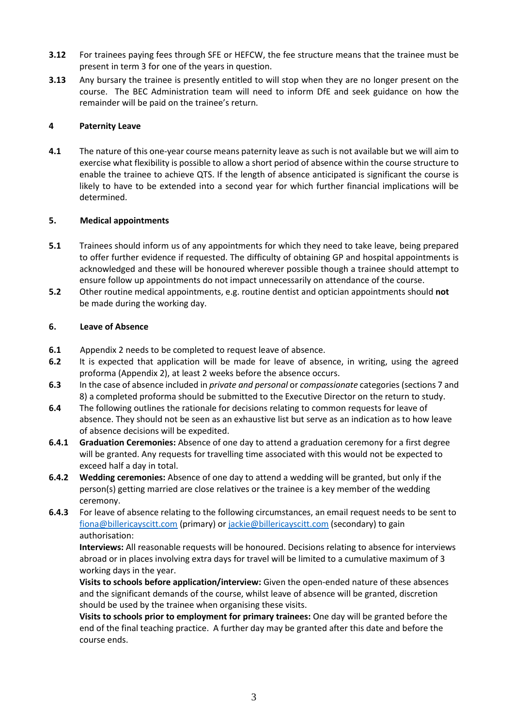- **3.12** For trainees paying fees through SFE or HEFCW, the fee structure means that the trainee must be present in term 3 for one of the years in question.
- **3.13** Any bursary the trainee is presently entitled to will stop when they are no longer present on the course. The BEC Administration team will need to inform DfE and seek guidance on how the remainder will be paid on the trainee's return.

## **4 Paternity Leave**

**4.1** The nature of this one-year course means paternity leave as such is not available but we will aim to exercise what flexibility is possible to allow a short period of absence within the course structure to enable the trainee to achieve QTS. If the length of absence anticipated is significant the course is likely to have to be extended into a second year for which further financial implications will be determined.

## **5. Medical appointments**

- **5.1** Trainees should inform us of any appointments for which they need to take leave, being prepared to offer further evidence if requested. The difficulty of obtaining GP and hospital appointments is acknowledged and these will be honoured wherever possible though a trainee should attempt to ensure follow up appointments do not impact unnecessarily on attendance of the course.
- **5.2** Other routine medical appointments, e.g. routine dentist and optician appointments should **not** be made during the working day.

## **6. Leave of Absence**

- **6.1** Appendix 2 needs to be completed to request leave of absence.
- **6.2** It is expected that application will be made for leave of absence, in writing, using the agreed proforma (Appendix 2), at least 2 weeks before the absence occurs.
- **6.3** In the case of absence included in *private and personal* or *compassionate* categories (sections 7 and 8) a completed proforma should be submitted to the Executive Director on the return to study.
- **6.4** The following outlines the rationale for decisions relating to common requests for leave of absence. They should not be seen as an exhaustive list but serve as an indication as to how leave of absence decisions will be expedited.
- **6.4.1 Graduation Ceremonies:** Absence of one day to attend a graduation ceremony for a first degree will be granted. Any requests for travelling time associated with this would not be expected to exceed half a day in total.
- **6.4.2 Wedding ceremonies:** Absence of one day to attend a wedding will be granted, but only if the person(s) getting married are close relatives or the trainee is a key member of the wedding ceremony.
- **6.4.3** For leave of absence relating to the following circumstances, an email request needs to be sent to [fiona@billericayscitt.com](mailto:fiona@billericayscitt.com) (primary) o[r jackie@billericayscitt.com](mailto:jackie@billericayscitt.com) (secondary) to gain authorisation:

**Interviews:** All reasonable requests will be honoured. Decisions relating to absence for interviews abroad or in places involving extra days for travel will be limited to a cumulative maximum of 3 working days in the year.

**Visits to schools before application/interview:** Given the open-ended nature of these absences and the significant demands of the course, whilst leave of absence will be granted, discretion should be used by the trainee when organising these visits.

**Visits to schools prior to employment for primary trainees:** One day will be granted before the end of the final teaching practice. A further day may be granted after this date and before the course ends.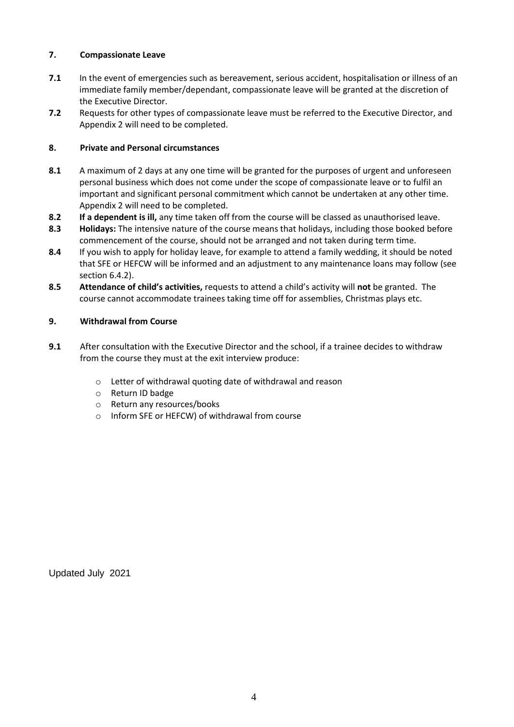# **7. Compassionate Leave**

- **7.1** In the event of emergencies such as bereavement, serious accident, hospitalisation or illness of an immediate family member/dependant, compassionate leave will be granted at the discretion of the Executive Director.
- **7.2** Requests for other types of compassionate leave must be referred to the Executive Director, and Appendix 2 will need to be completed.

# **8. Private and Personal circumstances**

- **8.1** A maximum of 2 days at any one time will be granted for the purposes of urgent and unforeseen personal business which does not come under the scope of compassionate leave or to fulfil an important and significant personal commitment which cannot be undertaken at any other time. Appendix 2 will need to be completed.
- **8.2 If a dependent is ill,** any time taken off from the course will be classed as unauthorised leave.
- **8.3 Holidays:** The intensive nature of the course means that holidays, including those booked before commencement of the course, should not be arranged and not taken during term time.
- **8.4** If you wish to apply for holiday leave, for example to attend a family wedding, it should be noted that SFE or HEFCW will be informed and an adjustment to any maintenance loans may follow (see section 6.4.2).
- **8.5 Attendance of child's activities,** requests to attend a child's activity will **not** be granted. The course cannot accommodate trainees taking time off for assemblies, Christmas plays etc.

# **9. Withdrawal from Course**

- **9.1** After consultation with the Executive Director and the school, if a trainee decides to withdraw from the course they must at the exit interview produce:
	- o Letter of withdrawal quoting date of withdrawal and reason
	- o Return ID badge
	- o Return any resources/books
	- o Inform SFE or HEFCW) of withdrawal from course

Updated July 2021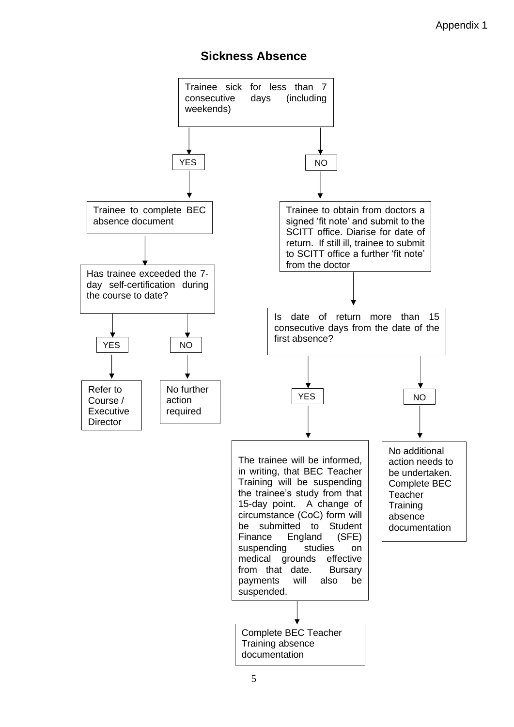# **Sickness Absence**